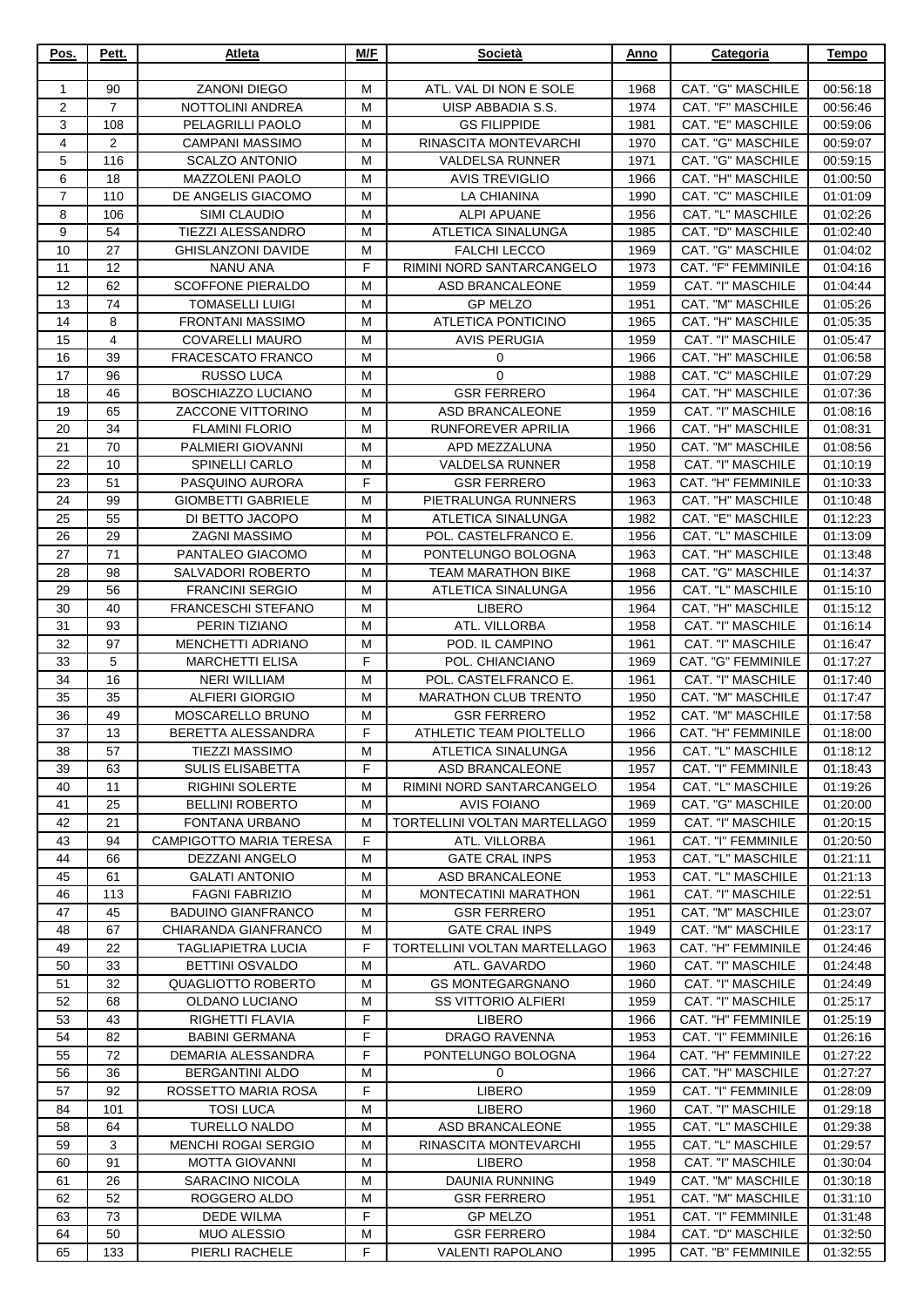| Pos.           | Pett.          | Atleta                                         | M/F    | Società                                             | Anno         | Categoria                               | <b>Tempo</b>         |
|----------------|----------------|------------------------------------------------|--------|-----------------------------------------------------|--------------|-----------------------------------------|----------------------|
| 1              | 90             | <b>ZANONI DIEGO</b>                            | M      | ATL. VAL DI NON E SOLE                              | 1968         | CAT. "G" MASCHILE                       | 00:56:18             |
| 2              | $\overline{7}$ | NOTTOLINI ANDREA                               | м      | UISP ABBADIA S.S.                                   | 1974         | CAT. "F" MASCHILE                       | 00:56:46             |
| 3              | 108            | PELAGRILLI PAOLO                               | M      | <b>GS FILIPPIDE</b>                                 | 1981         | CAT. "E" MASCHILE                       | 00:59:06             |
| $\overline{4}$ | 2              | <b>CAMPANI MASSIMO</b>                         | M      | RINASCITA MONTEVARCHI                               | 1970         | CAT. "G" MASCHILE                       | 00:59:07             |
| 5              | 116            | <b>SCALZO ANTONIO</b>                          | M      | <b>VALDELSA RUNNER</b>                              | 1971         | CAT. "G" MASCHILE                       | 00:59:15             |
| 6              | 18             | <b>MAZZOLENI PAOLO</b>                         | M      | <b>AVIS TREVIGLIO</b>                               | 1966         | CAT. "H" MASCHILE                       | 01:00:50             |
| 7              | 110            | DE ANGELIS GIACOMO                             | M      | <b>LA CHIANINA</b>                                  | 1990         | CAT. "C" MASCHILE                       | 01:01:09             |
| 8              | 106            | SIMI CLAUDIO                                   | м      | <b>ALPI APUANE</b>                                  | 1956         | CAT. "L" MASCHILE                       | 01:02:26             |
| 9              | 54<br>27       | <b>TIEZZI ALESSANDRO</b>                       | M      | ATLETICA SINALUNGA                                  | 1985         | CAT. "D" MASCHILE                       | 01:02:40             |
| 10<br>11       | 12             | <b>GHISLANZONI DAVIDE</b><br><b>NANU ANA</b>   | M<br>F | <b>FALCHI LECCO</b><br>RIMINI NORD SANTARCANGELO    | 1969<br>1973 | CAT. "G" MASCHILE<br>CAT. "F" FEMMINILE | 01:04:02<br>01:04:16 |
| 12             | 62             | <b>SCOFFONE PIERALDO</b>                       | м      | <b>ASD BRANCALEONE</b>                              | 1959         | CAT. "I" MASCHILE                       | 01:04:44             |
| 13             | 74             | TOMASELLI LUIGI                                | м      | <b>GP MELZO</b>                                     | 1951         | CAT. "M" MASCHILE                       | 01:05:26             |
| 14             | 8              | <b>FRONTANI MASSIMO</b>                        | M      | ATLETICA PONTICINO                                  | 1965         | CAT. "H" MASCHILE                       | 01:05:35             |
| 15             | 4              | <b>COVARELLI MAURO</b>                         | М      | <b>AVIS PERUGIA</b>                                 | 1959         | CAT. "I" MASCHILE                       | 01:05:47             |
| 16             | 39             | <b>FRACESCATO FRANCO</b>                       | M      | 0                                                   | 1966         | CAT. "H" MASCHILE                       | 01:06:58             |
| 17             | 96             | <b>RUSSO LUCA</b>                              | M      | $\mathbf 0$                                         | 1988         | <b>CAT. "C" MASCHILE</b>                | 01:07:29             |
| 18             | 46             | BOSCHIAZZO LUCIANO                             | м      | <b>GSR FERRERO</b>                                  | 1964         | CAT. "H" MASCHILE                       | 01:07:36             |
| 19             | 65             | <b>ZACCONE VITTORINO</b>                       | M      | <b>ASD BRANCALEONE</b>                              | 1959         | CAT. "I" MASCHILE                       | 01:08:16             |
| 20             | 34             | <b>FLAMINI FLORIO</b>                          | M      | RUNFOREVER APRILIA                                  | 1966         | CAT. "H" MASCHILE                       | 01:08:31             |
| 21<br>22       | 70             | PALMIERI GIOVANNI                              | M<br>M | APD MEZZALUNA                                       | 1950         | CAT. "M" MASCHILE<br>CAT. "I" MASCHILE  | 01:08:56             |
| 23             | 10<br>51       | SPINELLI CARLO<br>PASQUINO AURORA              | F      | VALDELSA RUNNER<br><b>GSR FERRERO</b>               | 1958<br>1963 | CAT. "H" FEMMINILE                      | 01:10:19<br>01:10:33 |
| 24             | 99             | <b>GIOMBETTI GABRIELE</b>                      | м      | PIETRALUNGA RUNNERS                                 | 1963         | CAT. "H" MASCHILE                       | 01:10:48             |
| 25             | 55             | DI BETTO JACOPO                                | м      | ATLETICA SINALUNGA                                  | 1982         | CAT. "E" MASCHILE                       | 01:12:23             |
| 26             | 29             | <b>ZAGNI MASSIMO</b>                           | M      | POL. CASTELFRANCO E.                                | 1956         | CAT. "L" MASCHILE                       | 01:13:09             |
| 27             | 71             | PANTALEO GIACOMO                               | м      | PONTELUNGO BOLOGNA                                  | 1963         | CAT. "H" MASCHILE                       | 01:13:48             |
| 28             | 98             | SALVADORI ROBERTO                              | M      | <b>TEAM MARATHON BIKE</b>                           | 1968         | CAT. "G" MASCHILE                       | 01:14:37             |
| 29             | 56             | <b>FRANCINI SERGIO</b>                         | M      | ATLETICA SINALUNGA                                  | 1956         | CAT. "L" MASCHILE                       | 01:15:10             |
| 30             | 40             | <b>FRANCESCHI STEFANO</b>                      | M      | <b>LIBERO</b>                                       | 1964         | CAT. "H" MASCHILE                       | 01:15:12             |
| 31             | 93             | PERIN TIZIANO                                  | M      | ATL. VILLORBA                                       | 1958         | CAT. "I" MASCHILE                       | 01:16:14             |
| 32             | 97             | <b>MENCHETTI ADRIANO</b>                       | M      | POD. IL CAMPINO                                     | 1961         | CAT. "I" MASCHILE                       | 01:16:47             |
| 33             | 5              | <b>MARCHETTI ELISA</b>                         | F      | POL. CHIANCIANO                                     | 1969         | CAT. "G" FEMMINILE<br>CAT. "I" MASCHILE | 01:17:27             |
| 34<br>35       | 16<br>35       | <b>NERI WILLIAM</b><br><b>ALFIERI GIORGIO</b>  | M<br>M | POL. CASTELFRANCO E.<br><b>MARATHON CLUB TRENTO</b> | 1961<br>1950 | CAT. "M" MASCHILE                       | 01:17:40<br>01:17:47 |
| 36             | 49             | MOSCARELLO BRUNO                               | M      | <b>GSR FERRERO</b>                                  | 1952         | CAT. "M" MASCHILE                       | 01:17:58             |
| 37             | 13             | BERETTA ALESSANDRA                             | F      | ATHLETIC TEAM PIOLTELLO                             | 1966         | CAT. "H" FEMMINILE                      | 01:18:00             |
| 38             | 57             | <b>TIEZZI MASSIMO</b>                          | М      | ATLETICA SINALUNGA                                  | 1956         | CAT. "L" MASCHILE                       | 01:18:12             |
| 39             | 63             | <b>SULIS ELISABETTA</b>                        | F      | ASD BRANCALEONE                                     | 1957         | CAT. "I" FEMMINILE                      | 01:18:43             |
| 40             | 11             | <b>RIGHINI SOLERTE</b>                         | м      | RIMINI NORD SANTARCANGELO                           | 1954         | CAT. "L" MASCHILE                       | 01:19:26             |
| 41             | 25             | <b>BELLINI ROBERTO</b>                         | M      | <b>AVIS FOIANO</b>                                  | 1969         | <b>CAT. "G" MASCHILE</b>                | 01:20:00             |
| 42             | 21             | FONTANA URBANO                                 | M      | TORTELLINI VOLTAN MARTELLAGO                        | 1959         | CAT. "I" MASCHILE                       | 01:20:15             |
| 43             | 94             | <b>CAMPIGOTTO MARIA TERESA</b>                 | F      | ATL. VILLORBA                                       | 1961         | <b>CAT. "I" FEMMINILE</b>               | 01:20:50             |
| 44             | 66             | DEZZANI ANGELO                                 | м      | <b>GATE CRAL INPS</b>                               | 1953         | CAT. "L" MASCHILE                       | 01:21:11             |
| 45             | 61<br>113      | <b>GALATI ANTONIO</b><br><b>FAGNI FABRIZIO</b> | M<br>М | <b>ASD BRANCALEONE</b><br>MONTECATINI MARATHON      | 1953<br>1961 | CAT. "L" MASCHILE<br>CAT. "I" MASCHILE  | 01:21:13<br>01:22:51 |
| 46<br>47       | 45             | <b>BADUINO GIANFRANCO</b>                      | м      | <b>GSR FERRERO</b>                                  | 1951         | <b>CAT. "M" MASCHILE</b>                | 01:23:07             |
| 48             | 67             | CHIARANDA GIANFRANCO                           | M      | <b>GATE CRAL INPS</b>                               | 1949         | CAT. "M" MASCHILE                       | 01:23:17             |
| 49             | 22             | <b>TAGLIAPIETRA LUCIA</b>                      | F      | TORTELLINI VOLTAN MARTELLAGO                        | 1963         | CAT. "H" FEMMINILE                      | 01:24:46             |
| 50             | 33             | <b>BETTINI OSVALDO</b>                         | м      | ATL. GAVARDO                                        | 1960         | CAT. "I" MASCHILE                       | 01:24:48             |
| 51             | 32             | QUAGLIOTTO ROBERTO                             | м      | <b>GS MONTEGARGNANO</b>                             | 1960         | CAT. "I" MASCHILE                       | 01:24:49             |
| 52             | 68             | OLDANO LUCIANO                                 | м      | <b>SS VITTORIO ALFIERI</b>                          | 1959         | CAT. "I" MASCHILE                       | 01:25:17             |
| 53             | 43             | RIGHETTI FLAVIA                                | F      | <b>LIBERO</b>                                       | 1966         | CAT. "H" FEMMINILE                      | 01:25:19             |
| 54             | 82             | <b>BABINI GERMANA</b>                          | F      | DRAGO RAVENNA                                       | 1953         | CAT. "I" FEMMINILE                      | 01:26:16             |
| 55             | 72             | DEMARIA ALESSANDRA                             | F      | PONTELUNGO BOLOGNA                                  | 1964         | CAT. "H" FEMMINILE                      | 01:27:22             |
| 56             | 36             | <b>BERGANTINI ALDO</b>                         | м<br>F | $\mathbf 0$                                         | 1966         | CAT. "H" MASCHILE                       | 01:27:27             |
| 57<br>84       | 92<br>101      | ROSSETTO MARIA ROSA<br><b>TOSI LUCA</b>        | M      | <b>LIBERO</b><br><b>LIBERO</b>                      | 1959<br>1960 | CAT. "I" FEMMINILE<br>CAT. "I" MASCHILE | 01:28:09<br>01:29:18 |
| 58             | 64             | <b>TURELLO NALDO</b>                           | М      | <b>ASD BRANCALEONE</b>                              | 1955         | CAT. "L" MASCHILE                       | 01:29:38             |
| 59             | 3              | MENCHI ROGAI SERGIO                            | м      | RINASCITA MONTEVARCHI                               | 1955         | CAT. "L" MASCHILE                       | 01:29:57             |
| 60             | 91             | <b>MOTTA GIOVANNI</b>                          | M      | <b>LIBERO</b>                                       | 1958         | CAT. "I" MASCHILE                       | 01:30:04             |
| 61             | 26             | SARACINO NICOLA                                | м      | DAUNIA RUNNING                                      | 1949         | CAT. "M" MASCHILE                       | 01:30:18             |
| 62             | 52             | ROGGERO ALDO                                   | М      | <b>GSR FERRERO</b>                                  | 1951         | CAT. "M" MASCHILE                       | 01:31:10             |
| 63             | 73             | <b>DEDE WILMA</b>                              | F      | <b>GP MELZO</b>                                     | 1951         | CAT. "I" FEMMINILE                      | 01:31:48             |
| 64             | 50             | <b>MUO ALESSIO</b>                             | M      | <b>GSR FERRERO</b>                                  | 1984         | CAT. "D" MASCHILE                       | 01:32:50             |
| 65             | 133            | PIERLI RACHELE                                 | F      | <b>VALENTI RAPOLANO</b>                             | 1995         | CAT. "B" FEMMINILE                      | 01:32:55             |